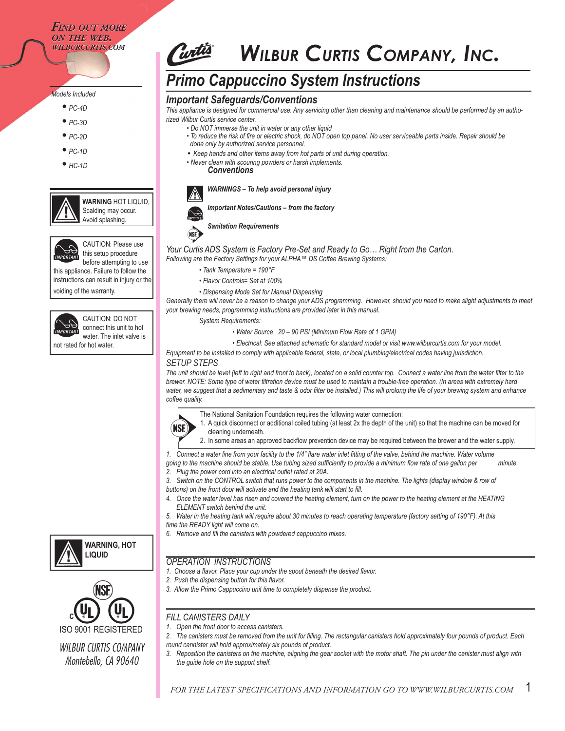#### *FIND OUT MORE ON THE WEB. WIND OUT MORE*<br>*ON THE WEB.<br>WILBURCURTIS.COM*

#### *Models Included*

- *PC-4D*
- *PC-3D*
- *PC-2D*
- *PC-1D*
- *HC-1D*
- 

**WARNING** HOT LIQUID, Scalding may occur. Avoid splashing.



CAUTION: Please use this setup procedure

before attempting to use this appliance. Failure to follow the instructions can result in injury or the voiding of the warranty.



connect this unit to hot water. The inlet valve is not rated for hot water.

CAUTION: DO NOT

# *WILBUR CURTIS COMPANY, INC.*

# *Primo Cappuccino System Instructions*

#### *Important Safeguards/Conventions*

*This appliance is designed for commercial use. Any servicing other than cleaning and maintenance should be performed by an authorized Wilbur Curtis service center.*

- *Do NOT immerse the unit in water or any other liquid*
	- *To reduce the risk of fire or electric shock, do NOT open top panel. No user serviceable parts inside. Repair should be done only by authorized service personnel.*
- *Keep hands and other items away from hot parts of unit during operation.*
- *Never clean with scouring powders or harsh implements. Conventions*



*WARNINGS – To help avoid personal injury*





*Sanitation Requirements*

**NSE** 

*Your Curtis ADS System is Factory Pre-Set and Ready to Go… Right from the Carton. Following are the Factory Settings for your ALPHA™ DS Coffee Brewing Systems:*

- *Tank Temperature = 190°F*
- *Flavor Controls= Set at 100%*
- *Dispensing Mode Set for Manual Dispensing*

Generally there will never be a reason to change your ADS programming. However, should you need to make slight adjustments to meet *your brewing needs, programming instructions are provided later in this manual.*

 *System Requirements:*

 *• Water Source 20 – 90 PSI (Minimum Flow Rate of 1 GPM)*

 *• Electrical: See attached schematic for standard model or visit www.wilburcurtis.com for your model.* 

*Equipment to be installed to comply with applicable federal, state, or local plumbing/electrical codes having jurisdiction.*

#### *SETUP STEPS*

*The unit should be level (left to right and front to back), located on a solid counter top. Connect a water line from the water filter to the brewer. NOTE: Some type of water filtration device must be used to maintain a trouble-free operation. (In areas with extremely hard*  water, we suggest that a sedimentary and taste & odor filter be installed.) This will prolong the life of your brewing system and enhance *coffee quality.* 



The National Sanitation Foundation requires the following water connection:

- 
- 
- 
- 1. A quick disconnect or additional coiled tubing (at least 2x the depth of the unit) so that the machine can be moved for
- - cleaning underneath.
	- 2. In some areas an approved backflow prevention device may be required between the brewer and the water supply.
- *1. Connect a water line from your facility to the 1/4" flare water inlet fitting of the valve, behind the machine. Water volume going to the machine should be stable. Use tubing sized sufficiently to provide a minimum flow rate of one gallon per minute.*
- *2. Plug the power cord into an electrical outlet rated at 20A. 3. Switch on the CONTROL switch that runs power to the components in the machine. The lights (display window & row of*
- *buttons) on the front door will activate and the heating tank will start to fill.*
- *4. Once the water level has risen and covered the heating element, turn on the power to the heating element at the HEATING ELEMENT switch behind the unit.*
- *5. Water in the heating tank will require about 30 minutes to reach operating temperature (factory setting of 190°F). At this time the READY light will come on.*

*6. Remove and fill the canisters with powdered cappuccino mixes.*

#### *OPERATION INSTRUCTIONS*

- *1. Choose a flavor. Place your cup under the spout beneath the desired flavor.*
- *2. Push the dispensing button for this flavor.*
- *3. Allow the Primo Cappuccino unit time to completely dispense the product.*

### *FILL CANISTERS DAILY*

- *1. Open the front door to access canisters.*
- *2. The canisters must be removed from the unit for filling. The rectangular canisters hold approximately four pounds of product. Each round cannister will hold approximately six pounds of product.*
- *3. Reposition the canisters on the machine, aligning the gear socket with the motor shaft. The pin under the canister must align with the guide hole on the support shelf.*

1



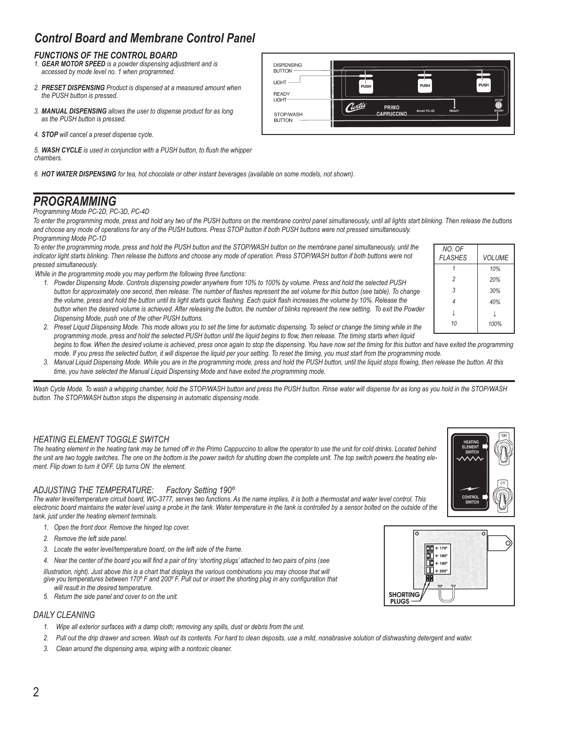# *Control Board and Membrane Control Panel*

### *FUNCTIONS OF THE CONTROL BOARD*

- *1. GEAR MOTOR SPEED is a powder dispensing adjustment and is accessed by mode level no. 1 when programmed.*
- *2. PRESET DISPENSING Product is dispensed at a measured amount when the PUSH button is pressed.*
- *3. MANUAL DISPENSING allows the user to dispense product for as long as the PUSH button is pressed.*
- *4. STOP will cancel a preset dispense cycle.*

*5. WASH CYCLE is used in conjunction with a PUSH button, to flush the whipper chambers.*

*6. HOT WATER DISPENSING for tea, hot chocolate or other instant beverages (available on some models, not shown).*

## *PROGRAMMING*

*Programming Mode PC-2D, PC-3D, PC-4D*

*To enter the programming mode, press and hold any two of the PUSH buttons on the membrane control panel simultaneously, until all lights start blinking. Then release the buttons and choose any mode of operations for any of the PUSH buttons. Press STOP button if both PUSH buttons were not pressed simultaneously. Programming Mode PC-1D*

*To enter the programming mode, press and hold the PUSH button and the STOP/WASH button on the membrane panel simultaneously, until the*  indicator light starts blinking. Then release the buttons and choose any mode of operation. Press STOP/WASH button if both buttons were not *pressed simultaneously.*

 *While in the programming mode you may perform the following three functions:*

 *1. Powder Dispensing Mode. Controls dispensing powder anywhere from 10% to 100% by volume. Press and hold the selected PUSH button for approximately one second, then release. The number of flashes represent the set volume for this button (see table). To change the volume, press and hold the button until its light starts quick flashing. Each quick flash increases the volume by 10%. Release the button when the desired volume is achieved. After releasing the button, the number of blinks represent the new setting. To exit the Powder Dispensing Mode, push one of the other PUSH buttons.*

| NO. OF<br><b>FLASHES</b> | <b>VOLUME</b> |
|--------------------------|---------------|
|                          | 10%           |
| $\mathfrak{p}$           | 20%           |
| 3                        | 30%           |
| 4                        | 40%           |
| Т                        | J             |
| 10                       | 100%          |

- *2. Preset Liquid Dispensing Mode. This mode allows you to set the time for automatic dispensing. To select or change the timing while in the programming mode, press and hold the selected PUSH button until the liquid begins to flow, then release. The timing starts when liquid*
- begins to flow. When the desired volume is achieved, press once again to stop the dispensing. You have now set the timing for this button and have exited the programming  *mode. If you press the selected button, it will dispense the liquid per your setting. To reset the timing, you must start from the programming mode.*
- *3. Manual Liquid Dispensing Mode. While you are in the programming mode, press and hold the PUSH button, until the liquid stops flowing, then release the button. At this time, you have selected the Manual Liquid Dispensing Mode and have exited the programming mode.*

Wash Cycle Mode. To wash a whipping chamber, hold the STOP/WASH button and press the PUSH button. Rinse water will dispense for as long as you hold in the STOP/WASH *button. The STOP/WASH button stops the dispensing in automatic dispensing mode.*

### *HEATING ELEMENT TOGGLE SWITCH*

*The heating element in the heating tank may be turned off in the Primo Cappuccino to allow the operator to use the unit for cold drinks. Located behind the unit are two toggle switches. The one on the bottom is the power switch for shutting down the complete unit. The top switch powers the heating element. Flip down to turn it OFF. Up turns ON the element.* 

#### *ADJUSTING THE TEMPERATURE: Factory Setting 190º*

*The water level/temperature circuit board, WC-3777, serves two functions. As the name implies, it is both a thermostat and water level control. This*  electronic board maintains the water level using a probe in the tank. Water temperature in the tank is controlled by a sensor bolted on the outside of the *tank, just under the heating element terminals.*

- *1. Open the front door. Remove the hinged top cover.*
- *2. Remove the left side panel.*
- *3. Locate the water level/temperature board, on the left side of the frame.*
- *4. Near the center of the board you will find a pair of tiny 'shorting plugs' attached to two pairs of pins (see*

illustration, right). Just above this is a chart that displays the various combinations you may choose that will  *give you temperatures between 170º F and 200º F. Pull out or insert the shorting plug in any configuration that will result in the desired temperature.*

 *5. Return the side panel and cover to on the unit.*

#### *DAILY CLEANING*

- *1. Wipe all exterior surfaces with a damp cloth; removing any spills, dust or debris from the unit.*
- *2. Pull out the drip drawer and screen. Wash out its contents. For hard to clean deposits, use a mild, nonabrasive solution of dishwashing detergent and water.*
- *3. Clean around the dispensing area, wiping with a nontoxic cleaner.*







DISPENSING BUTTON **LIGHT PIRH** PUSH READY LIGHT Curtis PRIMO CAPPUCCINO STOP/WASH BUTTON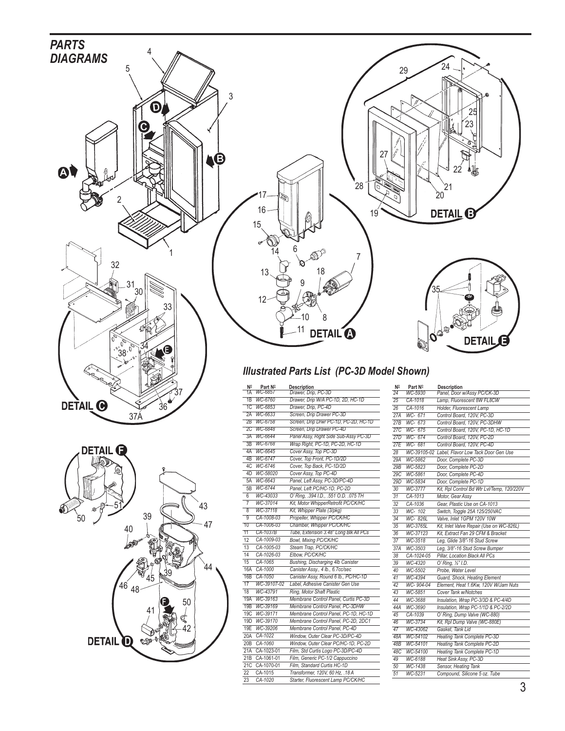